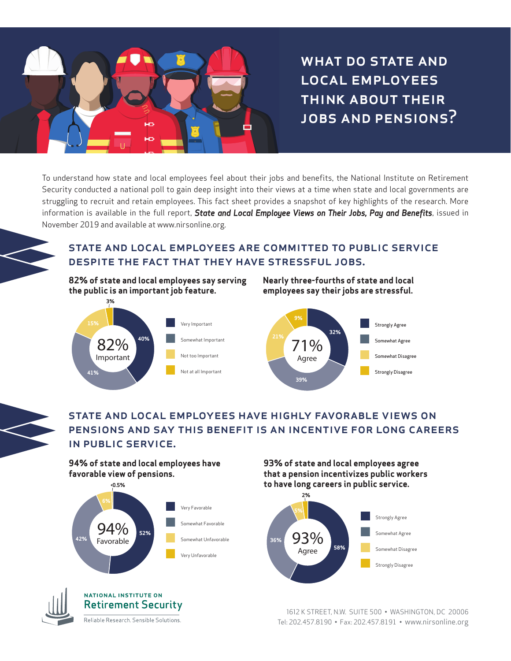

WHAT DO STATE AND local employees think about their jobs and pensions?

To understand how state and local employees feel about their jobs and benefits, the National Institute on Retirement Security conducted a national poll to gain deep insight into their views at a time when state and local governments are struggling to recruit and retain employees. This fact sheet provides a snapshot of key highlights of the research. More information is available in the full report, *State and Local Employee Views on Their Jobs, Pay and Benefits*, issued in November 2019 and available at www.nirsonline.org.

## state and local employees are committed to public service despite the fact that they have stressful jobs.

**82% of state and local employees say serving the public is an important job feature.**



**Nearly three-fourths of state and local employees say their jobs are stressful.** 



# state and local employees have highly favorable views on pensions and say this benefit is an incentive for long careers in public service.

**94% of state and local employees have favorable view of pensions.**





#### **NATIONAL INSTITUTE ON Retirement Security**

Reliable Research. Sensible Solutions.

**93% of state and local employees agree that a pension incentivizes public workers to have long careers in public service.**